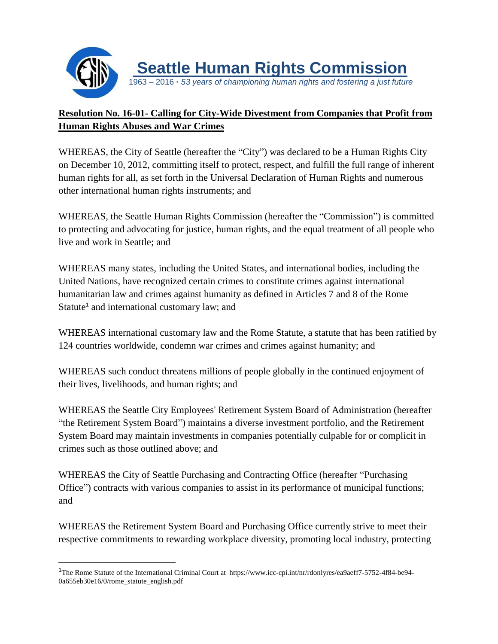

## **Resolution No. 16-01- Calling for City-Wide Divestment from Companies that Profit from Human Rights Abuses and War Crimes**

WHEREAS, the City of Seattle (hereafter the "City") was declared to be a Human Rights City on December 10, 2012, committing itself to protect, respect, and fulfill the full range of inherent human rights for all, as set forth in the Universal Declaration of Human Rights and numerous other international human rights instruments; and

WHEREAS, the Seattle Human Rights Commission (hereafter the "Commission") is committed to protecting and advocating for justice, human rights, and the equal treatment of all people who live and work in Seattle; and

WHEREAS many states, including the United States, and international bodies, including the United Nations, have recognized certain crimes to constitute crimes against international humanitarian law and crimes against humanity as defined in Articles 7 and 8 of the Rome Statute<sup>1</sup> and international customary law; and

WHEREAS international customary law and the Rome Statute, a statute that has been ratified by 124 countries worldwide, condemn war crimes and crimes against humanity; and

WHEREAS such conduct threatens millions of people globally in the continued enjoyment of their lives, livelihoods, and human rights; and

WHEREAS the Seattle City Employees' Retirement System Board of Administration (hereafter "the Retirement System Board") maintains a diverse investment portfolio, and the Retirement System Board may maintain investments in companies potentially culpable for or complicit in crimes such as those outlined above; and

WHEREAS the City of Seattle Purchasing and Contracting Office (hereafter "Purchasing Office") contracts with various companies to assist in its performance of municipal functions; and

WHEREAS the Retirement System Board and Purchasing Office currently strive to meet their respective commitments to rewarding workplace diversity, promoting local industry, protecting

 $\overline{a}$ 

<sup>1</sup>The Rome Statute of the International Criminal Court at https://www.icc-cpi.int/nr/rdonlyres/ea9aeff7-5752-4f84-be94- 0a655eb30e16/0/rome\_statute\_english.pdf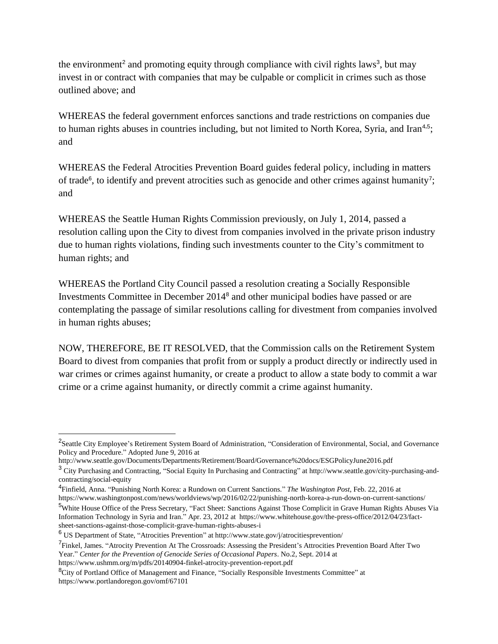the environment<sup>2</sup> and promoting equity through compliance with civil rights laws<sup>3</sup>, but may invest in or contract with companies that may be culpable or complicit in crimes such as those outlined above; and

WHEREAS the federal government enforces sanctions and trade restrictions on companies due to human rights abuses in countries including, but not limited to North Korea, Syria, and Iran<sup>4,5</sup>; and

WHEREAS the Federal Atrocities Prevention Board guides federal policy, including in matters of trade<sup>6</sup>, to identify and prevent atrocities such as genocide and other crimes against humanity<sup>7</sup>; and

WHEREAS the Seattle Human Rights Commission previously, on July 1, 2014, passed a resolution calling upon the City to divest from companies involved in the private prison industry due to human rights violations, finding such investments counter to the City's commitment to human rights; and

WHEREAS the Portland City Council passed a resolution creating a Socially Responsible Investments Committee in December 2014<sup>8</sup> and other municipal bodies have passed or are contemplating the passage of similar resolutions calling for divestment from companies involved in human rights abuses;

NOW, THEREFORE, BE IT RESOLVED, that the Commission calls on the Retirement System Board to divest from companies that profit from or supply a product directly or indirectly used in war crimes or crimes against humanity, or create a product to allow a state body to commit a war crime or a crime against humanity, or directly commit a crime against humanity.

4 Finfield, Anna. "Punishing North Korea: a Rundown on Current Sanctions." *The Washington Post*, Feb. 22, 2016 at https://www.washingtonpost.com/news/worldviews/wp/2016/02/22/punishing-north-korea-a-run-down-on-current-sanctions/

<sup>5</sup>White House Office of the Press Secretary, "Fact Sheet: Sanctions Against Those Complicit in Grave Human Rights Abuses Via Information Technology in Syria and Iran." Apr. 23, 2012 at https://www.whitehouse.gov/the-press-office/2012/04/23/factsheet-sanctions-against-those-complicit-grave-human-rights-abuses-i

<sup>&</sup>lt;sup>2</sup>Seattle City Employee's Retirement System Board of Administration, "Consideration of Environmental, Social, and Governance Policy and Procedure." Adopted June 9, 2016 at

http://www.seattle.gov/Documents/Departments/Retirement/Board/Governance%20docs/ESGPolicyJune2016.pdf

<sup>3</sup> City Purchasing and Contracting, "Social Equity In Purchasing and Contracting" at http://www.seattle.gov/city-purchasing-andcontracting/social-equity

<sup>6</sup> US Department of State, "Atrocities Prevention" at http://www.state.gov/j/atrocitiesprevention/

<sup>&</sup>lt;sup>7</sup> Finkel, James. "Atrocity Prevention At The Crossroads: Assessing the President's Attrocities Prevention Board After Two Year." *Center for the Prevention of Genocide Series of Occasional Papers*. No.2, Sept. 2014 at https://www.ushmm.org/m/pdfs/20140904-finkel-atrocity-prevention-report.pdf

<sup>&</sup>lt;sup>8</sup>City of Portland Office of Management and Finance, "Socially Responsible Investments Committee" at https://www.portlandoregon.gov/omf/67101